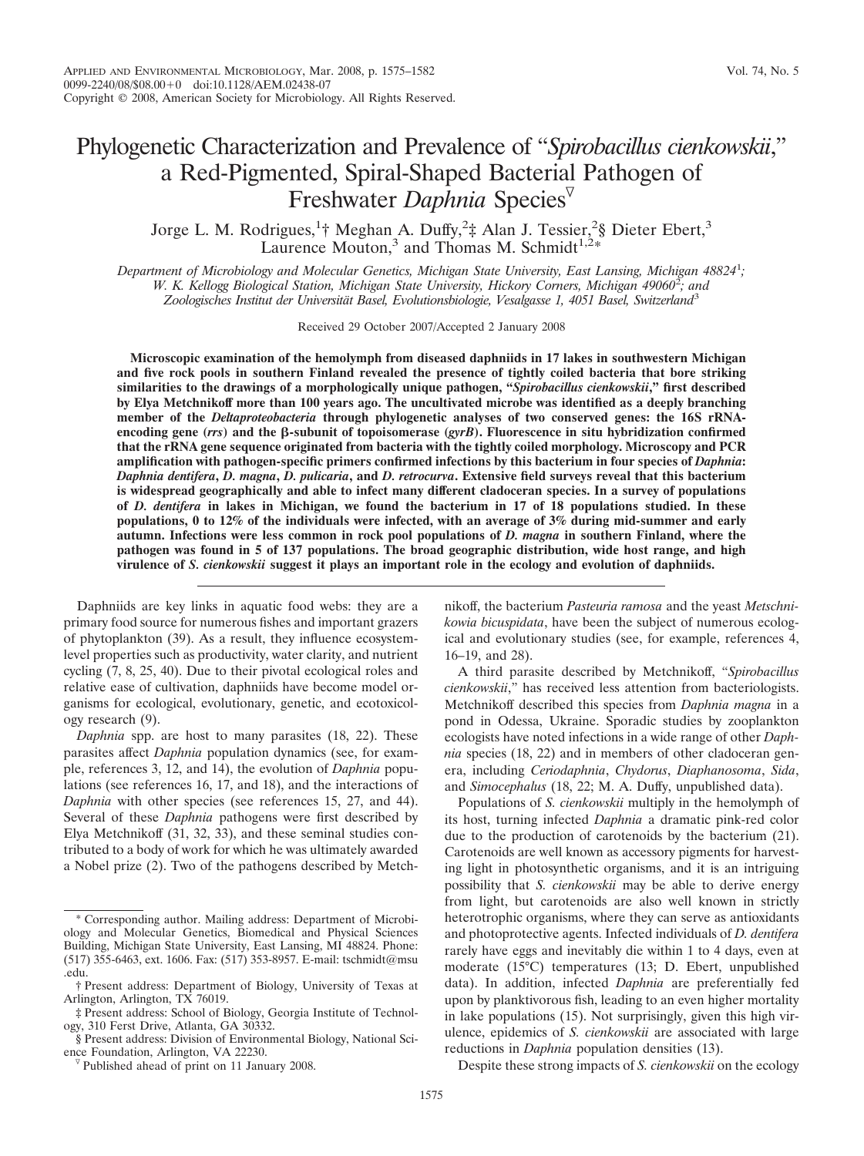# Phylogenetic Characterization and Prevalence of "*Spirobacillus cienkowskii*," a Red-Pigmented, Spiral-Shaped Bacterial Pathogen of Freshwater *Daphnia* Species

Jorge L. M. Rodrigues,<sup>1</sup>† Meghan A. Duffy,<sup>2</sup>‡ Alan J. Tessier,<sup>2</sup>§ Dieter Ebert,<sup>3</sup> Laurence Mouton,<sup>3</sup> and Thomas M. Schmidt<sup>1,2\*</sup>

*Department of Microbiology and Molecular Genetics, Michigan State University, East Lansing, Michigan 48824*<sup>1</sup> *; W. K. Kellogg Biological Station, Michigan State University, Hickory Corners, Michigan 49060*<sup>2</sup> *; and* Zoologisches Institut der Universität Basel, Evolutionsbiologie, Vesalgasse 1, 4051 Basel, Switzerland<sup>3</sup>

Received 29 October 2007/Accepted 2 January 2008

**Microscopic examination of the hemolymph from diseased daphniids in 17 lakes in southwestern Michigan and five rock pools in southern Finland revealed the presence of tightly coiled bacteria that bore striking similarities to the drawings of a morphologically unique pathogen, "***Spirobacillus cienkowskii***," first described by Elya Metchnikoff more than 100 years ago. The uncultivated microbe was identified as a deeply branching member of the** *Deltaproteobacteria* **through phylogenetic analyses of two conserved genes: the 16S rRNA**encoding gene  $(rrs)$  and the  $\beta$ -subunit of topoisomerase  $(gyrB)$ . Fluorescence in situ hybridization confirmed **that the rRNA gene sequence originated from bacteria with the tightly coiled morphology. Microscopy and PCR amplification with pathogen-specific primers confirmed infections by this bacterium in four species of** *Daphnia***:** *Daphnia dentifera***,** *D. magna***,** *D. pulicaria***, and** *D. retrocurva***. Extensive field surveys reveal that this bacterium is widespread geographically and able to infect many different cladoceran species. In a survey of populations of** *D. dentifera* **in lakes in Michigan, we found the bacterium in 17 of 18 populations studied. In these populations, 0 to 12% of the individuals were infected, with an average of 3% during mid-summer and early autumn. Infections were less common in rock pool populations of** *D. magna* **in southern Finland, where the pathogen was found in 5 of 137 populations. The broad geographic distribution, wide host range, and high virulence of** *S. cienkowskii* **suggest it plays an important role in the ecology and evolution of daphniids.**

Daphniids are key links in aquatic food webs: they are a primary food source for numerous fishes and important grazers of phytoplankton (39). As a result, they influence ecosystemlevel properties such as productivity, water clarity, and nutrient cycling (7, 8, 25, 40). Due to their pivotal ecological roles and relative ease of cultivation, daphniids have become model organisms for ecological, evolutionary, genetic, and ecotoxicology research (9).

*Daphnia* spp. are host to many parasites (18, 22). These parasites affect *Daphnia* population dynamics (see, for example, references 3, 12, and 14), the evolution of *Daphnia* populations (see references 16, 17, and 18), and the interactions of *Daphnia* with other species (see references 15, 27, and 44). Several of these *Daphnia* pathogens were first described by Elya Metchnikoff (31, 32, 33), and these seminal studies contributed to a body of work for which he was ultimately awarded a Nobel prize (2). Two of the pathogens described by Metchnikoff, the bacterium *Pasteuria ramosa* and the yeast *Metschnikowia bicuspidata*, have been the subject of numerous ecological and evolutionary studies (see, for example, references 4, 16–19, and 28).

A third parasite described by Metchnikoff, "*Spirobacillus cienkowskii*," has received less attention from bacteriologists. Metchnikoff described this species from *Daphnia magna* in a pond in Odessa, Ukraine. Sporadic studies by zooplankton ecologists have noted infections in a wide range of other *Daphnia* species (18, 22) and in members of other cladoceran genera, including *Ceriodaphnia*, *Chydorus*, *Diaphanosoma*, *Sida*, and *Simocephalus* (18, 22; M. A. Duffy, unpublished data).

Populations of *S. cienkowskii* multiply in the hemolymph of its host, turning infected *Daphnia* a dramatic pink-red color due to the production of carotenoids by the bacterium (21). Carotenoids are well known as accessory pigments for harvesting light in photosynthetic organisms, and it is an intriguing possibility that *S. cienkowskii* may be able to derive energy from light, but carotenoids are also well known in strictly heterotrophic organisms, where they can serve as antioxidants and photoprotective agents. Infected individuals of *D. dentifera* rarely have eggs and inevitably die within 1 to 4 days, even at moderate (15°C) temperatures (13; D. Ebert, unpublished data). In addition, infected *Daphnia* are preferentially fed upon by planktivorous fish, leading to an even higher mortality in lake populations (15). Not surprisingly, given this high virulence, epidemics of *S. cienkowskii* are associated with large reductions in *Daphnia* population densities (13).

Despite these strong impacts of *S. cienkowskii* on the ecology

<sup>\*</sup> Corresponding author. Mailing address: Department of Microbiology and Molecular Genetics, Biomedical and Physical Sciences Building, Michigan State University, East Lansing, MI 48824. Phone: (517) 355-6463, ext. 1606. Fax: (517) 353-8957. E-mail: tschmidt@msu .edu.

<sup>†</sup> Present address: Department of Biology, University of Texas at Arlington, Arlington, TX 76019.

<sup>‡</sup> Present address: School of Biology, Georgia Institute of Technology, 310 Ferst Drive, Atlanta, GA 30332.

<sup>§</sup> Present address: Division of Environmental Biology, National Science Foundation, Arlington, VA 22230.

 $\nabla$  Published ahead of print on 11 January 2008.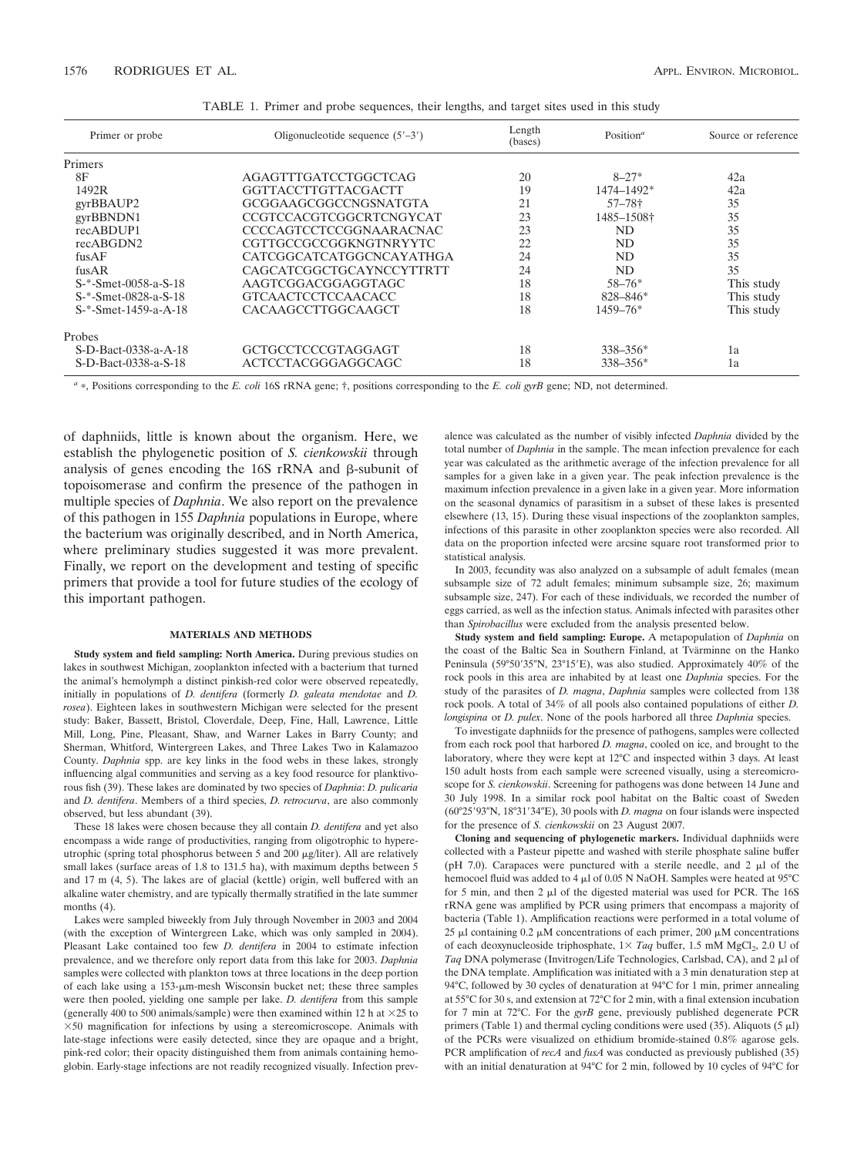| Primer or probe      | Oligonucleotide sequence $(5'-3')$ | Length<br>(bases) | Position <sup><math>a</math></sup> | Source or reference |
|----------------------|------------------------------------|-------------------|------------------------------------|---------------------|
| Primers              |                                    |                   |                                    |                     |
| 8F                   | <b>AGAGTTTGATCCTGGCTCAG</b>        | 20                | $8 - 27*$                          | 42a                 |
| 1492R                | GGTTACCTTGTTACGACTT                | 19                | 1474-1492*                         | 42a                 |
| gyrBBAUP2            | GCGGAAGCGGCCNGSNATGTA              | 21                | $57 - 78$ †                        | 35                  |
| gyrBBNDN1            | CCGTCCACGTCGGCRTCNGYCAT            | 23                | 1485-1508†                         | 35                  |
| recABDUP1            | <b>CCCCAGTCCTCCGGNAARACNAC</b>     | 23                | ND.                                | 35                  |
| recABGDN2            | CGTTGCCGCCGGKNGTNRYYTC             | 22                | ND.                                | 35                  |
| $f$ us $AF$          | CATCGGCATCATGGCNCAYATHGA           | 24                | ND.                                | 35                  |
| $f$ us $AR$          | CAGCATCGGCTGCAYNCCYTTRTT           | 24                | <b>ND</b>                          | 35                  |
| S-*-Smet-0058-a-S-18 | AAGTCGGACGGAGGTAGC                 | 18                | $58 - 76*$                         | This study          |
| S-*-Smet-0828-a-S-18 | <b>GTCAACTCCTCCAACACC</b>          | 18                | $828 - 846*$                       | This study          |
| S-*-Smet-1459-a-A-18 | CACAAGCCTTGGCAAGCT                 | 18                | $1459 - 76*$                       | This study          |
| Probes               |                                    |                   |                                    |                     |
| S-D-Bact-0338-a-A-18 | GCTGCCTCCCGTAGGAGT                 | 18                | $338 - 356*$                       | 1a                  |
| S-D-Bact-0338-a-S-18 | ACTCCTACGGGAGGCAGC                 | 18                | $338 - 356*$                       | 1a                  |

TABLE 1. Primer and probe sequences, their lengths, and target sites used in this study

*<sup>a</sup>* , Positions corresponding to the *E. coli* 16S rRNA gene; †, positions corresponding to the *E. coli gyrB* gene; ND, not determined.

of daphniids, little is known about the organism. Here, we establish the phylogenetic position of *S. cienkowskii* through analysis of genes encoding the  $16S$  rRNA and  $\beta$ -subunit of topoisomerase and confirm the presence of the pathogen in multiple species of *Daphnia*. We also report on the prevalence of this pathogen in 155 *Daphnia* populations in Europe, where the bacterium was originally described, and in North America, where preliminary studies suggested it was more prevalent. Finally, we report on the development and testing of specific primers that provide a tool for future studies of the ecology of this important pathogen.

### **MATERIALS AND METHODS**

**Study system and field sampling: North America.** During previous studies on lakes in southwest Michigan, zooplankton infected with a bacterium that turned the animal's hemolymph a distinct pinkish-red color were observed repeatedly, initially in populations of *D. dentifera* (formerly *D. galeata mendotae* and *D. rosea*). Eighteen lakes in southwestern Michigan were selected for the present study: Baker, Bassett, Bristol, Cloverdale, Deep, Fine, Hall, Lawrence, Little Mill, Long, Pine, Pleasant, Shaw, and Warner Lakes in Barry County; and Sherman, Whitford, Wintergreen Lakes, and Three Lakes Two in Kalamazoo County. *Daphnia* spp. are key links in the food webs in these lakes, strongly influencing algal communities and serving as a key food resource for planktivorous fish (39). These lakes are dominated by two species of *Daphnia*: *D. pulicaria* and *D. dentifera*. Members of a third species, *D. retrocurva*, are also commonly observed, but less abundant (39).

These 18 lakes were chosen because they all contain *D. dentifera* and yet also encompass a wide range of productivities, ranging from oligotrophic to hypereutrophic (spring total phosphorus between 5 and 200  $\mu$ g/liter). All are relatively small lakes (surface areas of 1.8 to 131.5 ha), with maximum depths between 5 and 17 m (4, 5). The lakes are of glacial (kettle) origin, well buffered with an alkaline water chemistry, and are typically thermally stratified in the late summer months  $(4)$ .

Lakes were sampled biweekly from July through November in 2003 and 2004 (with the exception of Wintergreen Lake, which was only sampled in 2004). Pleasant Lake contained too few *D. dentifera* in 2004 to estimate infection prevalence, and we therefore only report data from this lake for 2003. *Daphnia* samples were collected with plankton tows at three locations in the deep portion of each lake using a  $153$ - $\mu$ m-mesh Wisconsin bucket net; these three samples were then pooled, yielding one sample per lake. *D. dentifera* from this sample (generally 400 to 500 animals/sample) were then examined within 12 h at  $\times$ 25 to  $\times 50$  magnification for infections by using a stereomicroscope. Animals with late-stage infections were easily detected, since they are opaque and a bright, pink-red color; their opacity distinguished them from animals containing hemoglobin. Early-stage infections are not readily recognized visually. Infection prevalence was calculated as the number of visibly infected *Daphnia* divided by the total number of *Daphnia* in the sample. The mean infection prevalence for each year was calculated as the arithmetic average of the infection prevalence for all samples for a given lake in a given year. The peak infection prevalence is the maximum infection prevalence in a given lake in a given year. More information on the seasonal dynamics of parasitism in a subset of these lakes is presented elsewhere (13, 15). During these visual inspections of the zooplankton samples, infections of this parasite in other zooplankton species were also recorded. All data on the proportion infected were arcsine square root transformed prior to statistical analysis.

In 2003, fecundity was also analyzed on a subsample of adult females (mean subsample size of 72 adult females; minimum subsample size, 26; maximum subsample size, 247). For each of these individuals, we recorded the number of eggs carried, as well as the infection status. Animals infected with parasites other than *Spirobacillus* were excluded from the analysis presented below.

**Study system and field sampling: Europe.** A metapopulation of *Daphnia* on the coast of the Baltic Sea in Southern Finland, at Tvärminne on the Hanko Peninsula (59°50'35"N, 23°15'E), was also studied. Approximately 40% of the rock pools in this area are inhabited by at least one *Daphnia* species. For the study of the parasites of *D. magna*, *Daphnia* samples were collected from 138 rock pools. A total of 34% of all pools also contained populations of either *D. longispina* or *D. pulex*. None of the pools harbored all three *Daphnia* species.

To investigate daphniids for the presence of pathogens, samples were collected from each rock pool that harbored *D. magna*, cooled on ice, and brought to the laboratory, where they were kept at 12°C and inspected within 3 days. At least 150 adult hosts from each sample were screened visually, using a stereomicroscope for *S. cienkowskii*. Screening for pathogens was done between 14 June and 30 July 1998. In a similar rock pool habitat on the Baltic coast of Sweden (60°25'93"N, 18°31'34"E), 30 pools with *D. magna* on four islands were inspected for the presence of *S. cienkowskii* on 23 August 2007.

**Cloning and sequencing of phylogenetic markers.** Individual daphniids were collected with a Pasteur pipette and washed with sterile phosphate saline buffer (pH 7.0). Carapaces were punctured with a sterile needle, and 2  $\mu$ l of the hemocoel fluid was added to 4  $\mu$ l of 0.05 N NaOH. Samples were heated at 95°C for 5 min, and then 2  $\mu$ l of the digested material was used for PCR. The 16S rRNA gene was amplified by PCR using primers that encompass a majority of bacteria (Table 1). Amplification reactions were performed in a total volume of 25  $\mu$ l containing 0.2  $\mu$ M concentrations of each primer, 200  $\mu$ M concentrations of each deoxynucleoside triphosphate,  $1 \times Taq$  buffer,  $1.5 \text{ mM } MgCl_2$ ,  $2.0 \text{ U of}$ Taq DNA polymerase (Invitrogen/Life Technologies, Carlsbad, CA), and 2 µl of the DNA template. Amplification was initiated with a 3 min denaturation step at 94°C, followed by 30 cycles of denaturation at 94°C for 1 min, primer annealing at 55°C for 30 s, and extension at 72°C for 2 min, with a final extension incubation for 7 min at 72°C. For the *gyrB* gene, previously published degenerate PCR primers (Table 1) and thermal cycling conditions were used (35). Aliquots (5  $\mu$ l) of the PCRs were visualized on ethidium bromide-stained 0.8% agarose gels. PCR amplification of *recA* and *fusA* was conducted as previously published (35) with an initial denaturation at 94°C for 2 min, followed by 10 cycles of 94°C for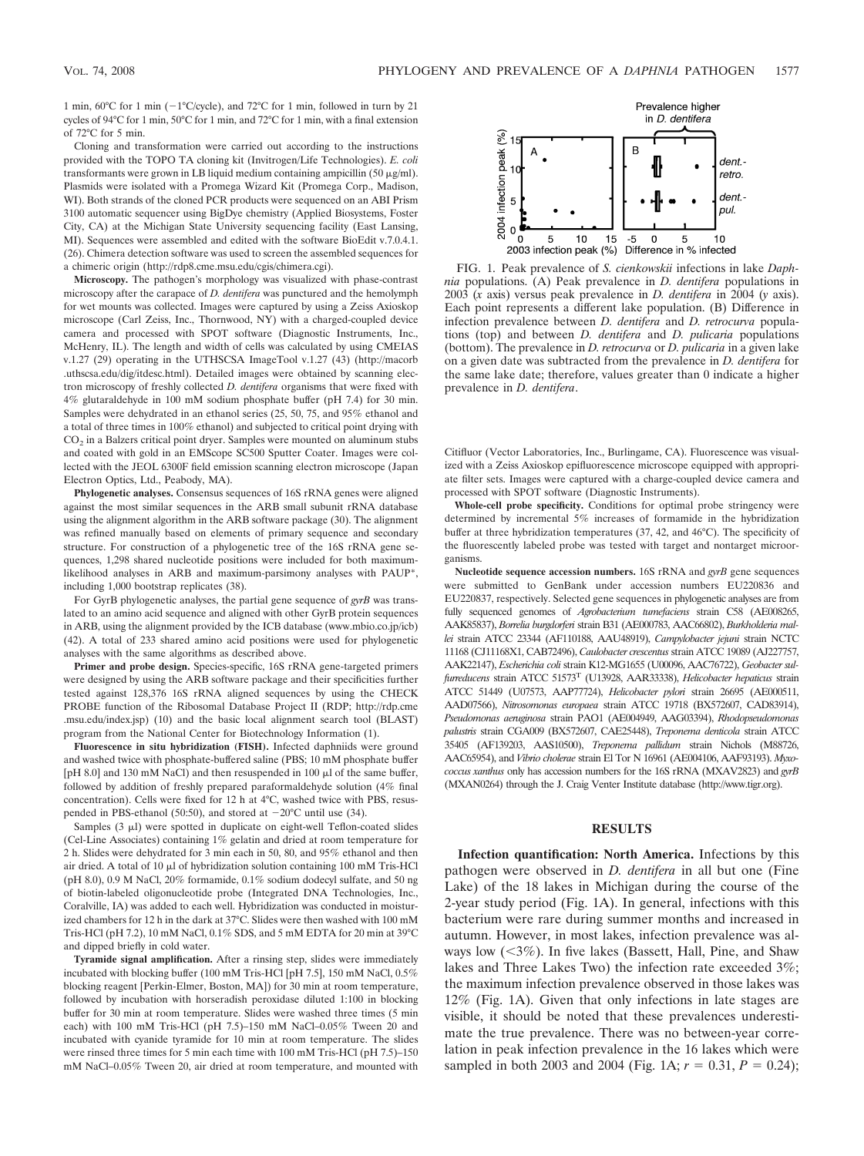1 min,  $60^{\circ}$ C for 1 min ( $-1^{\circ}$ C/cycle), and  $72^{\circ}$ C for 1 min, followed in turn by 21 cycles of 94°C for 1 min, 50°C for 1 min, and 72°C for 1 min, with a final extension of 72°C for 5 min.

Cloning and transformation were carried out according to the instructions provided with the TOPO TA cloning kit (Invitrogen/Life Technologies). *E. coli* transformants were grown in LB liquid medium containing ampicillin  $(50 \mu g/ml)$ . Plasmids were isolated with a Promega Wizard Kit (Promega Corp., Madison, WI). Both strands of the cloned PCR products were sequenced on an ABI Prism 3100 automatic sequencer using BigDye chemistry (Applied Biosystems, Foster City, CA) at the Michigan State University sequencing facility (East Lansing, MI). Sequences were assembled and edited with the software BioEdit v.7.0.4.1. (26). Chimera detection software was used to screen the assembled sequences for a chimeric origin (http://rdp8.cme.msu.edu/cgis/chimera.cgi).

**Microscopy.** The pathogen's morphology was visualized with phase-contrast microscopy after the carapace of *D. dentifera* was punctured and the hemolymph for wet mounts was collected. Images were captured by using a Zeiss Axioskop microscope (Carl Zeiss, Inc., Thornwood, NY) with a charged-coupled device camera and processed with SPOT software (Diagnostic Instruments, Inc., McHenry, IL). The length and width of cells was calculated by using CMEIAS v.1.27 (29) operating in the UTHSCSA ImageTool v.1.27 (43) (http://macorb .uthscsa.edu/dig/itdesc.html). Detailed images were obtained by scanning electron microscopy of freshly collected *D. dentifera* organisms that were fixed with 4% glutaraldehyde in 100 mM sodium phosphate buffer (pH 7.4) for 30 min. Samples were dehydrated in an ethanol series (25, 50, 75, and 95% ethanol and a total of three times in 100% ethanol) and subjected to critical point drying with  $CO<sub>2</sub>$  in a Balzers critical point dryer. Samples were mounted on aluminum stubs and coated with gold in an EMScope SC500 Sputter Coater. Images were collected with the JEOL 6300F field emission scanning electron microscope (Japan Electron Optics, Ltd., Peabody, MA).

**Phylogenetic analyses.** Consensus sequences of 16S rRNA genes were aligned against the most similar sequences in the ARB small subunit rRNA database using the alignment algorithm in the ARB software package (30). The alignment was refined manually based on elements of primary sequence and secondary structure. For construction of a phylogenetic tree of the 16S rRNA gene sequences, 1,298 shared nucleotide positions were included for both maximumlikelihood analyses in ARB and maximum-parsimony analyses with PAUP\*, including 1,000 bootstrap replicates (38).

For GyrB phylogenetic analyses, the partial gene sequence of *gyrB* was translated to an amino acid sequence and aligned with other GyrB protein sequences in ARB, using the alignment provided by the ICB database (www.mbio.co.jp/icb) (42). A total of 233 shared amino acid positions were used for phylogenetic analyses with the same algorithms as described above.

**Primer and probe design.** Species-specific, 16S rRNA gene-targeted primers were designed by using the ARB software package and their specificities further tested against 128,376 16S rRNA aligned sequences by using the CHECK PROBE function of the Ribosomal Database Project II (RDP; http://rdp.cme .msu.edu/index.jsp) (10) and the basic local alignment search tool (BLAST) program from the National Center for Biotechnology Information (1).

**Fluorescence in situ hybridization (FISH).** Infected daphniids were ground and washed twice with phosphate-buffered saline (PBS; 10 mM phosphate buffer [pH 8.0] and 130 mM NaCl) and then resuspended in 100  $\mu$ l of the same buffer, followed by addition of freshly prepared paraformaldehyde solution (4% final concentration). Cells were fixed for 12 h at 4°C, washed twice with PBS, resuspended in PBS-ethanol (50:50), and stored at  $-20^{\circ}$ C until use (34).

Samples  $(3 \mu l)$  were spotted in duplicate on eight-well Teflon-coated slides (Cel-Line Associates) containing 1% gelatin and dried at room temperature for 2 h. Slides were dehydrated for 3 min each in 50, 80, and 95% ethanol and then air dried. A total of 10  $\mu$ l of hybridization solution containing 100 mM Tris-HCl (pH 8.0), 0.9 M NaCl, 20% formamide, 0.1% sodium dodecyl sulfate, and 50 ng of biotin-labeled oligonucleotide probe (Integrated DNA Technologies, Inc., Coralville, IA) was added to each well. Hybridization was conducted in moisturized chambers for 12 h in the dark at 37°C. Slides were then washed with 100 mM Tris-HCl (pH 7.2), 10 mM NaCl, 0.1% SDS, and 5 mM EDTA for 20 min at 39°C and dipped briefly in cold water.

**Tyramide signal amplification.** After a rinsing step, slides were immediately incubated with blocking buffer (100 mM Tris-HCl [pH 7.5], 150 mM NaCl, 0.5% blocking reagent [Perkin-Elmer, Boston, MA]) for 30 min at room temperature, followed by incubation with horseradish peroxidase diluted 1:100 in blocking buffer for 30 min at room temperature. Slides were washed three times (5 min each) with 100 mM Tris-HCl (pH 7.5)–150 mM NaCl–0.05% Tween 20 and incubated with cyanide tyramide for 10 min at room temperature. The slides were rinsed three times for 5 min each time with 100 mM Tris-HCl (pH 7.5)–150 mM NaCl–0.05% Tween 20, air dried at room temperature, and mounted with



FIG. 1. Peak prevalence of *S. cienkowskii* infections in lake *Daphnia* populations. (A) Peak prevalence in *D. dentifera* populations in 2003 (*x* axis) versus peak prevalence in *D. dentifera* in 2004 (*y* axis). Each point represents a different lake population. (B) Difference in infection prevalence between *D. dentifera* and *D. retrocurva* populations (top) and between *D. dentifera* and *D. pulicaria* populations (bottom). The prevalence in *D. retrocurva* or *D. pulicaria* in a given lake on a given date was subtracted from the prevalence in *D. dentifera* for the same lake date; therefore, values greater than 0 indicate a higher prevalence in *D. dentifera*.

Citifluor (Vector Laboratories, Inc., Burlingame, CA). Fluorescence was visualized with a Zeiss Axioskop epifluorescence microscope equipped with appropriate filter sets. Images were captured with a charge-coupled device camera and processed with SPOT software (Diagnostic Instruments).

**Whole-cell probe specificity.** Conditions for optimal probe stringency were determined by incremental 5% increases of formamide in the hybridization buffer at three hybridization temperatures (37, 42, and 46°C). The specificity of the fluorescently labeled probe was tested with target and nontarget microorganisms.

**Nucleotide sequence accession numbers.** 16S rRNA and *gyrB* gene sequences were submitted to GenBank under accession numbers EU220836 and EU220837, respectively. Selected gene sequences in phylogenetic analyses are from fully sequenced genomes of *Agrobacterium tumefaciens* strain C58 (AE008265, AAK85837), *Borrelia burgdorferi* strain B31 (AE000783, AAC66802), *Burkholderia mallei* strain ATCC 23344 (AF110188, AAU48919), *Campylobacter jejuni* strain NCTC 11168 (CJ11168X1, CAB72496), *Caulobacter crescentus* strain ATCC 19089 (AJ227757, AAK22147), *Escherichia coli* strain K12-MG1655 (U00096, AAC76722), *Geobacter sulfurreducens* strain ATCC 51573T (U13928, AAR33338), *Helicobacter hepaticus* strain ATCC 51449 (U07573, AAP77724), *Helicobacter pylori* strain 26695 (AE000511, AAD07566), *Nitrosomonas europaea* strain ATCC 19718 (BX572607, CAD83914), *Pseudomonas aeruginosa* strain PAO1 (AE004949, AAG03394), *Rhodopseudomonas palustris* strain CGA009 (BX572607, CAE25448), *Treponema denticola* strain ATCC 35405 (AF139203, AAS10500), *Treponema pallidum* strain Nichols (M88726, AAC65954), and *Vibrio cholerae* strain El Tor N 16961 (AE004106, AAF93193). *Myxococcus xanthus* only has accession numbers for the 16S rRNA (MXAV2823) and *gyrB* (MXAN0264) through the J. Craig Venter Institute database (http://www.tigr.org).

#### **RESULTS**

**Infection quantification: North America.** Infections by this pathogen were observed in *D. dentifera* in all but one (Fine Lake) of the 18 lakes in Michigan during the course of the 2-year study period (Fig. 1A). In general, infections with this bacterium were rare during summer months and increased in autumn. However, in most lakes, infection prevalence was always low  $(<3\%)$ . In five lakes (Bassett, Hall, Pine, and Shaw lakes and Three Lakes Two) the infection rate exceeded 3%; the maximum infection prevalence observed in those lakes was 12% (Fig. 1A). Given that only infections in late stages are visible, it should be noted that these prevalences underestimate the true prevalence. There was no between-year correlation in peak infection prevalence in the 16 lakes which were sampled in both 2003 and 2004 (Fig. 1A;  $r = 0.31$ ,  $P = 0.24$ );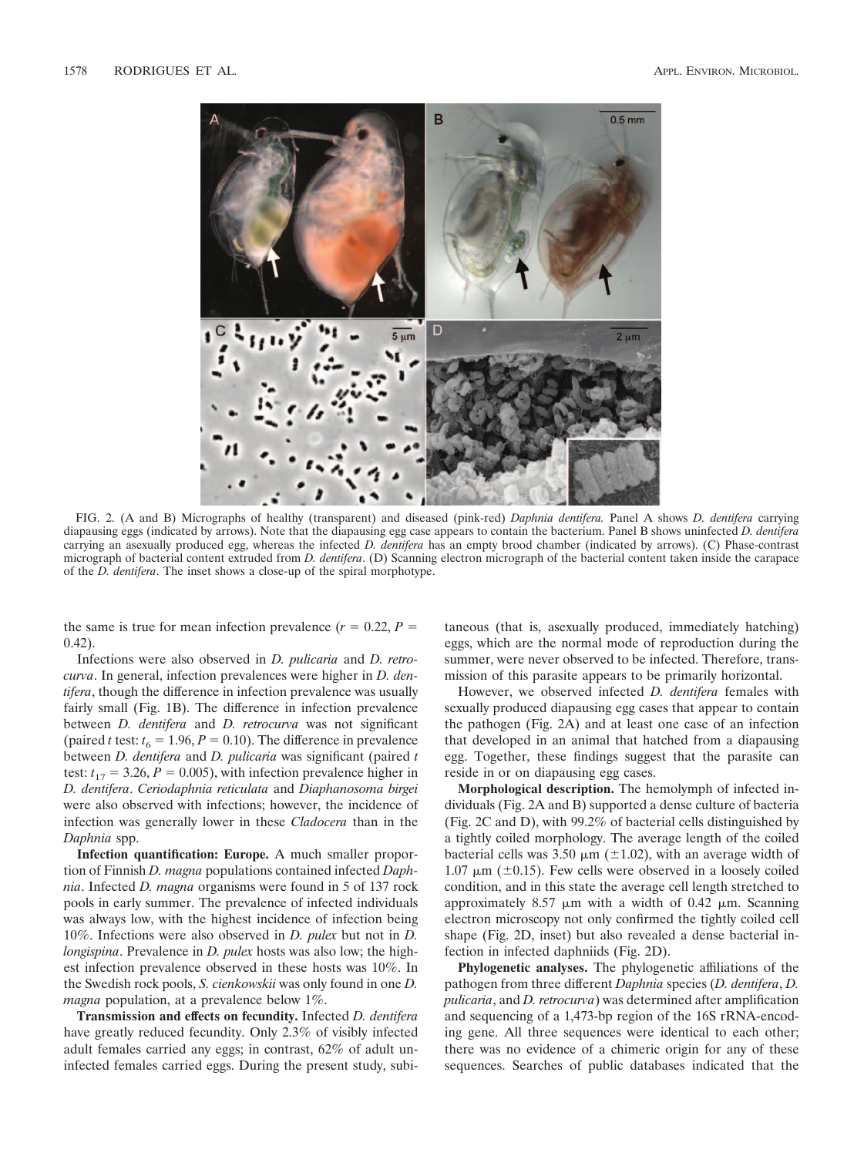

FIG. 2. (A and B) Micrographs of healthy (transparent) and diseased (pink-red) *Daphnia dentifera.* Panel A shows *D. dentifera* carrying diapausing eggs (indicated by arrows). Note that the diapausing egg case appears to contain the bacterium. Panel B shows uninfected *D. dentifera* carrying an asexually produced egg, whereas the infected *D. dentifera* has an empty brood chamber (indicated by arrows). (C) Phase-contrast micrograph of bacterial content extruded from *D. dentifera*. (D) Scanning electron micrograph of the bacterial content taken inside the carapace of the *D. dentifera*. The inset shows a close-up of the spiral morphotype.

the same is true for mean infection prevalence  $(r = 0.22, P =$ 0.42).

Infections were also observed in *D. pulicaria* and *D. retrocurva*. In general, infection prevalences were higher in *D. dentifera*, though the difference in infection prevalence was usually fairly small (Fig. 1B). The difference in infection prevalence between *D. dentifera* and *D. retrocurva* was not significant (paired *t* test:  $t_6 = 1.96, P = 0.10$ ). The difference in prevalence between *D. dentifera* and *D. pulicaria* was significant (paired *t* test:  $t_{17} = 3.26$ ,  $P = 0.005$ ), with infection prevalence higher in *D. dentifera*. *Ceriodaphnia reticulata* and *Diaphanosoma birgei* were also observed with infections; however, the incidence of infection was generally lower in these *Cladocera* than in the *Daphnia* spp.

**Infection quantification: Europe.** A much smaller proportion of Finnish *D. magna* populations contained infected *Daphnia*. Infected *D. magna* organisms were found in 5 of 137 rock pools in early summer. The prevalence of infected individuals was always low, with the highest incidence of infection being 10%. Infections were also observed in *D. pulex* but not in *D. longispina*. Prevalence in *D. pulex* hosts was also low; the highest infection prevalence observed in these hosts was 10%. In the Swedish rock pools, *S. cienkowskii* was only found in one *D. magna* population, at a prevalence below 1%.

**Transmission and effects on fecundity.** Infected *D. dentifera* have greatly reduced fecundity. Only 2.3% of visibly infected adult females carried any eggs; in contrast, 62% of adult uninfected females carried eggs. During the present study, subitaneous (that is, asexually produced, immediately hatching) eggs, which are the normal mode of reproduction during the summer, were never observed to be infected. Therefore, transmission of this parasite appears to be primarily horizontal.

However, we observed infected *D. dentifera* females with sexually produced diapausing egg cases that appear to contain the pathogen (Fig. 2A) and at least one case of an infection that developed in an animal that hatched from a diapausing egg. Together, these findings suggest that the parasite can reside in or on diapausing egg cases.

**Morphological description.** The hemolymph of infected individuals (Fig. 2A and B) supported a dense culture of bacteria (Fig. 2C and D), with 99.2% of bacterial cells distinguished by a tightly coiled morphology. The average length of the coiled bacterial cells was  $3.50 \mu m$  ( $\pm 1.02$ ), with an average width of 1.07  $\mu$ m ( $\pm$ 0.15). Few cells were observed in a loosely coiled condition, and in this state the average cell length stretched to approximately 8.57  $\mu$ m with a width of 0.42  $\mu$ m. Scanning electron microscopy not only confirmed the tightly coiled cell shape (Fig. 2D, inset) but also revealed a dense bacterial infection in infected daphniids (Fig. 2D).

**Phylogenetic analyses.** The phylogenetic affiliations of the pathogen from three different *Daphnia* species (*D. dentifera*, *D. pulicaria*, and *D. retrocurva*) was determined after amplification and sequencing of a 1,473-bp region of the 16S rRNA-encoding gene. All three sequences were identical to each other; there was no evidence of a chimeric origin for any of these sequences. Searches of public databases indicated that the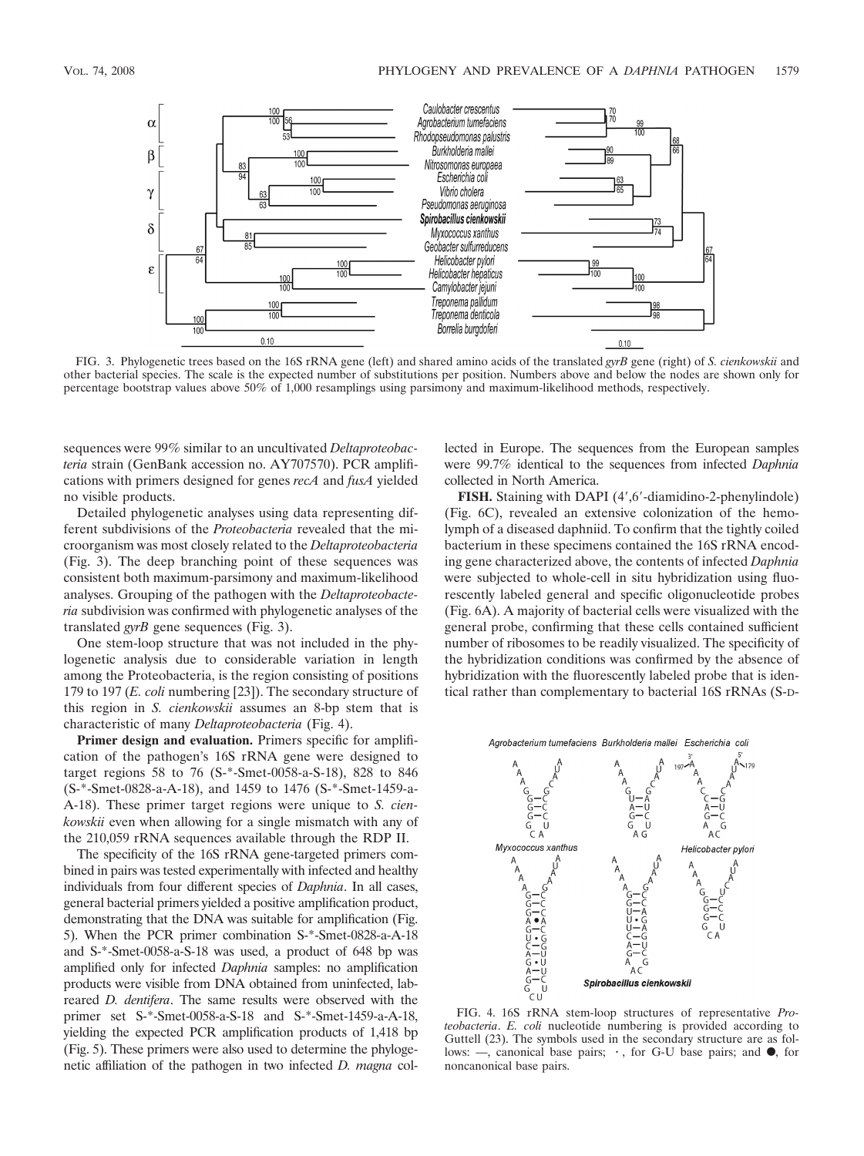

FIG. 3. Phylogenetic trees based on the 16S rRNA gene (left) and shared amino acids of the translated *gyrB* gene (right) of *S. cienkowskii* and other bacterial species. The scale is the expected number of substitutions per position. Numbers above and below the nodes are shown only for percentage bootstrap values above 50% of 1,000 resamplings using parsimony and maximum-likelihood methods, respectively.

sequences were 99% similar to an uncultivated *Deltaproteobacteria* strain (GenBank accession no. AY707570). PCR amplifications with primers designed for genes *recA* and *fusA* yielded no visible products.

Detailed phylogenetic analyses using data representing different subdivisions of the *Proteobacteria* revealed that the microorganism was most closely related to the *Deltaproteobacteria* (Fig. 3). The deep branching point of these sequences was consistent both maximum-parsimony and maximum-likelihood analyses. Grouping of the pathogen with the *Deltaproteobacteria* subdivision was confirmed with phylogenetic analyses of the translated *gyrB* gene sequences (Fig. 3).

One stem-loop structure that was not included in the phylogenetic analysis due to considerable variation in length among the Proteobacteria, is the region consisting of positions 179 to 197 (*E. coli* numbering [23]). The secondary structure of this region in *S. cienkowskii* assumes an 8-bp stem that is characteristic of many *Deltaproteobacteria* (Fig. 4).

**Primer design and evaluation.** Primers specific for amplification of the pathogen's 16S rRNA gene were designed to target regions 58 to 76 (S-\*-Smet-0058-a-S-18), 828 to 846 (S-\*-Smet-0828-a-A-18), and 1459 to 1476 (S-\*-Smet-1459-a-A-18). These primer target regions were unique to *S. cienkowskii* even when allowing for a single mismatch with any of the 210,059 rRNA sequences available through the RDP II.

The specificity of the 16S rRNA gene-targeted primers combined in pairs was tested experimentally with infected and healthy individuals from four different species of *Daphnia*. In all cases, general bacterial primers yielded a positive amplification product, demonstrating that the DNA was suitable for amplification (Fig. 5). When the PCR primer combination S-\*-Smet-0828-a-A-18 and S-\*-Smet-0058-a-S-18 was used, a product of 648 bp was amplified only for infected *Daphnia* samples: no amplification products were visible from DNA obtained from uninfected, labreared *D. dentifera*. The same results were observed with the primer set S-\*-Smet-0058-a-S-18 and S-\*-Smet-1459-a-A-18, yielding the expected PCR amplification products of 1,418 bp (Fig. 5). These primers were also used to determine the phylogenetic affiliation of the pathogen in two infected *D. magna* collected in Europe. The sequences from the European samples were 99.7% identical to the sequences from infected *Daphnia* collected in North America.

FISH. Staining with DAPI (4',6'-diamidino-2-phenylindole) (Fig. 6C), revealed an extensive colonization of the hemolymph of a diseased daphniid. To confirm that the tightly coiled bacterium in these specimens contained the 16S rRNA encoding gene characterized above, the contents of infected *Daphnia* were subjected to whole-cell in situ hybridization using fluorescently labeled general and specific oligonucleotide probes (Fig. 6A). A majority of bacterial cells were visualized with the general probe, confirming that these cells contained sufficient number of ribosomes to be readily visualized. The specificity of the hybridization conditions was confirmed by the absence of hybridization with the fluorescently labeled probe that is identical rather than complementary to bacterial 16S rRNAs (S-D-





FIG. 4. 16S rRNA stem-loop structures of representative *Proteobacteria*. *E. coli* nucleotide numbering is provided according to Guttell (23). The symbols used in the secondary structure are as follows:  $-$ , canonical base pairs;  $\cdot$ , for G-U base pairs; and  $\bullet$ , for noncanonical base pairs.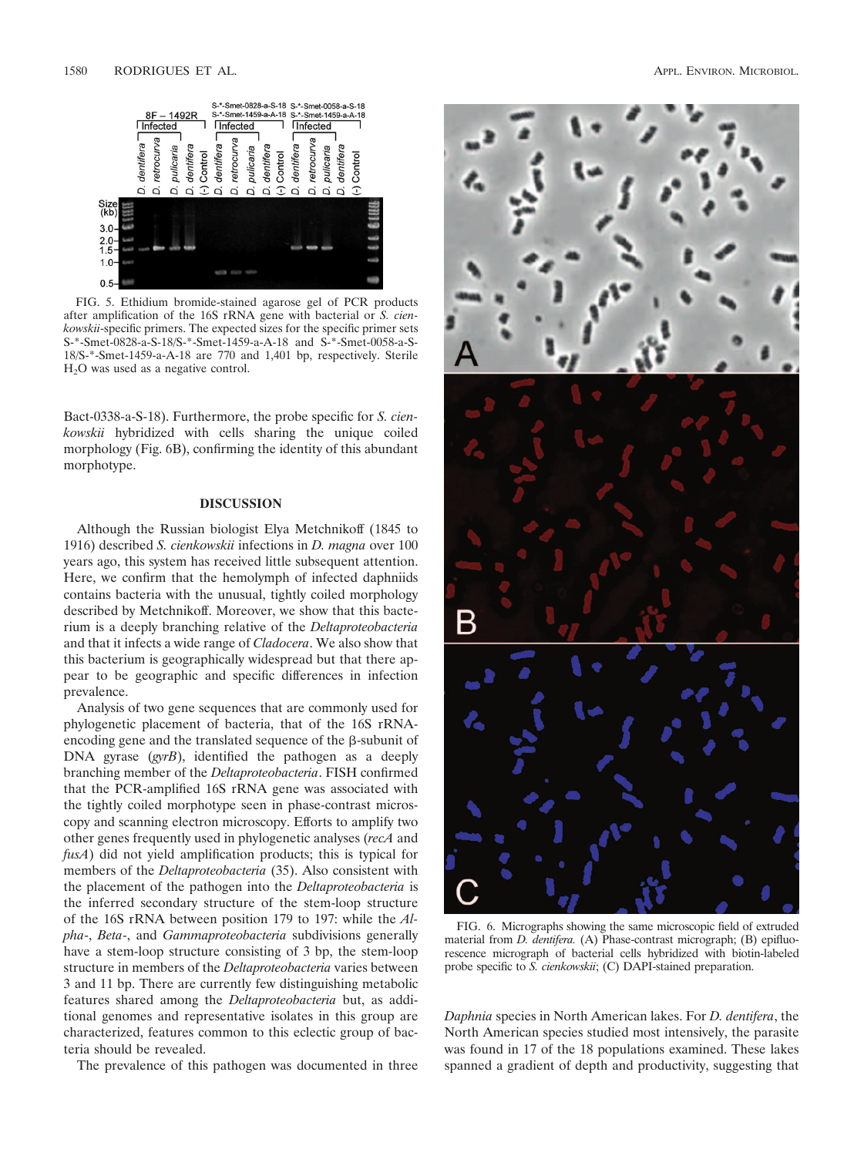

FIG. 5. Ethidium bromide-stained agarose gel of PCR products after amplification of the 16S rRNA gene with bacterial or *S. cienkowskii*-specific primers. The expected sizes for the specific primer sets S-\*-Smet-0828-a-S-18/S-\*-Smet-1459-a-A-18 and S-\*-Smet-0058-a-S-18/S-\*-Smet-1459-a-A-18 are 770 and 1,401 bp, respectively. Sterile H2O was used as a negative control.

Bact-0338-a-S-18). Furthermore, the probe specific for *S. cienkowskii* hybridized with cells sharing the unique coiled morphology (Fig. 6B), confirming the identity of this abundant morphotype.

## **DISCUSSION**

Although the Russian biologist Elya Metchnikoff (1845 to 1916) described *S. cienkowskii* infections in *D. magna* over 100 years ago, this system has received little subsequent attention. Here, we confirm that the hemolymph of infected daphniids contains bacteria with the unusual, tightly coiled morphology described by Metchnikoff. Moreover, we show that this bacterium is a deeply branching relative of the *Deltaproteobacteria* and that it infects a wide range of *Cladocera*. We also show that this bacterium is geographically widespread but that there appear to be geographic and specific differences in infection prevalence.

Analysis of two gene sequences that are commonly used for phylogenetic placement of bacteria, that of the 16S rRNAencoding gene and the translated sequence of the  $\beta$ -subunit of DNA gyrase (*gyrB*), identified the pathogen as a deeply branching member of the *Deltaproteobacteria*. FISH confirmed that the PCR-amplified 16S rRNA gene was associated with the tightly coiled morphotype seen in phase-contrast microscopy and scanning electron microscopy. Efforts to amplify two other genes frequently used in phylogenetic analyses (*recA* and *fusA*) did not yield amplification products; this is typical for members of the *Deltaproteobacteria* (35). Also consistent with the placement of the pathogen into the *Deltaproteobacteria* is the inferred secondary structure of the stem-loop structure of the 16S rRNA between position 179 to 197: while the *Alpha*-, *Beta*-, and *Gammaproteobacteria* subdivisions generally have a stem-loop structure consisting of 3 bp, the stem-loop structure in members of the *Deltaproteobacteria* varies between 3 and 11 bp. There are currently few distinguishing metabolic features shared among the *Deltaproteobacteria* but, as additional genomes and representative isolates in this group are characterized, features common to this eclectic group of bacteria should be revealed.

The prevalence of this pathogen was documented in three



FIG. 6. Micrographs showing the same microscopic field of extruded material from *D. dentifera.* (A) Phase-contrast micrograph; (B) epifluorescence micrograph of bacterial cells hybridized with biotin-labeled probe specific to *S. cienkowskii*; (C) DAPI-stained preparation.

*Daphnia* species in North American lakes. For *D. dentifera*, the North American species studied most intensively, the parasite was found in 17 of the 18 populations examined. These lakes spanned a gradient of depth and productivity, suggesting that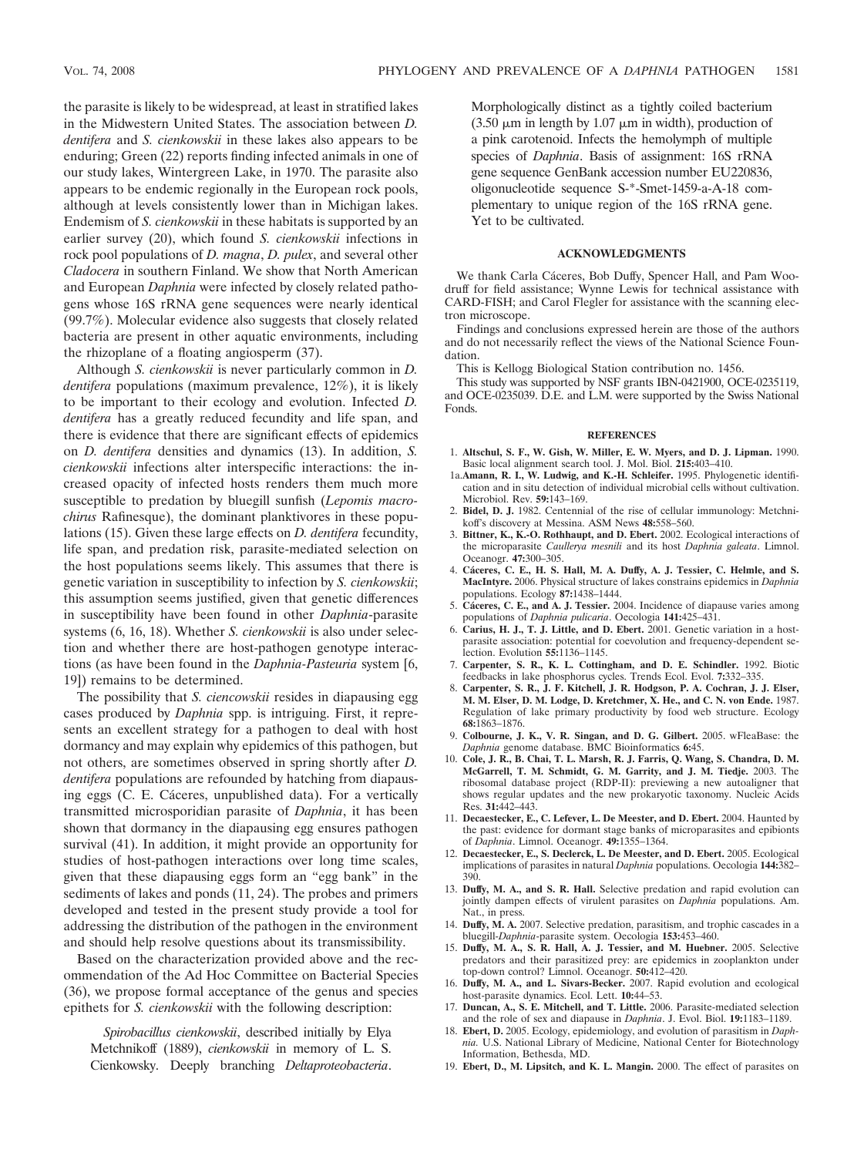the parasite is likely to be widespread, at least in stratified lakes in the Midwestern United States. The association between *D. dentifera* and *S. cienkowskii* in these lakes also appears to be enduring; Green (22) reports finding infected animals in one of our study lakes, Wintergreen Lake, in 1970. The parasite also appears to be endemic regionally in the European rock pools, although at levels consistently lower than in Michigan lakes. Endemism of *S. cienkowskii* in these habitats is supported by an earlier survey (20), which found *S. cienkowskii* infections in rock pool populations of *D. magna*, *D. pulex*, and several other *Cladocera* in southern Finland. We show that North American and European *Daphnia* were infected by closely related pathogens whose 16S rRNA gene sequences were nearly identical (99.7%). Molecular evidence also suggests that closely related bacteria are present in other aquatic environments, including the rhizoplane of a floating angiosperm (37).

Although *S. cienkowskii* is never particularly common in *D. dentifera* populations (maximum prevalence, 12%), it is likely to be important to their ecology and evolution. Infected *D. dentifera* has a greatly reduced fecundity and life span, and there is evidence that there are significant effects of epidemics on *D. dentifera* densities and dynamics (13). In addition, *S. cienkowskii* infections alter interspecific interactions: the increased opacity of infected hosts renders them much more susceptible to predation by bluegill sunfish (*Lepomis macrochirus* Rafinesque), the dominant planktivores in these populations (15). Given these large effects on *D. dentifera* fecundity, life span, and predation risk, parasite-mediated selection on the host populations seems likely. This assumes that there is genetic variation in susceptibility to infection by *S. cienkowskii*; this assumption seems justified, given that genetic differences in susceptibility have been found in other *Daphnia*-parasite systems (6, 16, 18). Whether *S. cienkowskii* is also under selection and whether there are host-pathogen genotype interactions (as have been found in the *Daphnia-Pasteuria* system [6, 19]) remains to be determined.

The possibility that *S. ciencowskii* resides in diapausing egg cases produced by *Daphnia* spp. is intriguing. First, it represents an excellent strategy for a pathogen to deal with host dormancy and may explain why epidemics of this pathogen, but not others, are sometimes observed in spring shortly after *D. dentifera* populations are refounded by hatching from diapausing eggs (C. E. Cáceres, unpublished data). For a vertically transmitted microsporidian parasite of *Daphnia*, it has been shown that dormancy in the diapausing egg ensures pathogen survival (41). In addition, it might provide an opportunity for studies of host-pathogen interactions over long time scales, given that these diapausing eggs form an "egg bank" in the sediments of lakes and ponds (11, 24). The probes and primers developed and tested in the present study provide a tool for addressing the distribution of the pathogen in the environment and should help resolve questions about its transmissibility.

Based on the characterization provided above and the recommendation of the Ad Hoc Committee on Bacterial Species (36), we propose formal acceptance of the genus and species epithets for *S. cienkowskii* with the following description:

*Spirobacillus cienkowskii*, described initially by Elya Metchnikoff (1889), *cienkowskii* in memory of L. S. Cienkowsky. Deeply branching *Deltaproteobacteria*.

Morphologically distinct as a tightly coiled bacterium  $(3.50 \mu m)$  in length by 1.07  $\mu$ m in width), production of a pink carotenoid. Infects the hemolymph of multiple species of *Daphnia*. Basis of assignment: 16S rRNA gene sequence GenBank accession number EU220836, oligonucleotide sequence S-\*-Smet-1459-a-A-18 complementary to unique region of the 16S rRNA gene. Yet to be cultivated.

#### **ACKNOWLEDGMENTS**

We thank Carla Cáceres, Bob Duffy, Spencer Hall, and Pam Woodruff for field assistance; Wynne Lewis for technical assistance with CARD-FISH; and Carol Flegler for assistance with the scanning electron microscope.

Findings and conclusions expressed herein are those of the authors and do not necessarily reflect the views of the National Science Foundation.

This is Kellogg Biological Station contribution no. 1456.

This study was supported by NSF grants IBN-0421900, OCE-0235119, and OCE-0235039. D.E. and L.M. were supported by the Swiss National Fonds.

#### **REFERENCES**

- 1. **Altschul, S. F., W. Gish, W. Miller, E. W. Myers, and D. J. Lipman.** 1990. Basic local alignment search tool. J. Mol. Biol. **215:**403–410.
- 1a.**Amann, R. I., W. Ludwig, and K.-H. Schleifer.** 1995. Phylogenetic identification and in situ detection of individual microbial cells without cultivation. Microbiol. Rev. **59:**143–169.
- 2. **Bidel, D. J.** 1982. Centennial of the rise of cellular immunology: Metchnikoff's discovery at Messina. ASM News **48:**558–560.
- 3. **Bittner, K., K.-O. Rothhaupt, and D. Ebert.** 2002. Ecological interactions of the microparasite *Caullerya mesnili* and its host *Daphnia galeata*. Limnol. Oceanogr. **47:**300–305.
- 4. **Ca´ceres, C. E., H. S. Hall, M. A. Duffy, A. J. Tessier, C. Helmle, and S. MacIntyre.** 2006. Physical structure of lakes constrains epidemics in *Daphnia* populations. Ecology **87:**1438–1444.
- 5. **Ca´ceres, C. E., and A. J. Tessier.** 2004. Incidence of diapause varies among populations of *Daphnia pulicaria*. Oecologia **141:**425–431.
- 6. **Carius, H. J., T. J. Little, and D. Ebert.** 2001. Genetic variation in a hostparasite association: potential for coevolution and frequency-dependent selection. Evolution **55:**1136–1145.
- 7. **Carpenter, S. R., K. L. Cottingham, and D. E. Schindler.** 1992. Biotic feedbacks in lake phosphorus cycles. Trends Ecol. Evol. **7:**332–335.
- 8. **Carpenter, S. R., J. F. Kitchell, J. R. Hodgson, P. A. Cochran, J. J. Elser, M. M. Elser, D. M. Lodge, D. Kretchmer, X. He., and C. N. von Ende.** 1987. Regulation of lake primary productivity by food web structure. Ecology **68:**1863–1876.
- 9. **Colbourne, J. K., V. R. Singan, and D. G. Gilbert.** 2005. wFleaBase: the *Daphnia* genome database. BMC Bioinformatics **6:**45.
- 10. **Cole, J. R., B. Chai, T. L. Marsh, R. J. Farris, Q. Wang, S. Chandra, D. M. McGarrell, T. M. Schmidt, G. M. Garrity, and J. M. Tiedje.** 2003. The ribosomal database project (RDP-II): previewing a new autoaligner that shows regular updates and the new prokaryotic taxonomy. Nucleic Acids Res. **31:**442–443.
- 11. **Decaestecker, E., C. Lefever, L. De Meester, and D. Ebert.** 2004. Haunted by the past: evidence for dormant stage banks of microparasites and epibionts of *Daphnia*. Limnol. Oceanogr. **49:**1355–1364.
- 12. **Decaestecker, E., S. Declerck, L. De Meester, and D. Ebert.** 2005. Ecological implications of parasites in natural *Daphnia* populations. Oecologia **144:**382– 390.
- 13. **Duffy, M. A., and S. R. Hall.** Selective predation and rapid evolution can jointly dampen effects of virulent parasites on *Daphnia* populations. Am. Nat., in press.
- 14. **Duffy, M. A.** 2007. Selective predation, parasitism, and trophic cascades in a bluegill-*Daphnia*-parasite system. Oecologia **153:**453–460.
- 15. **Duffy, M. A., S. R. Hall, A. J. Tessier, and M. Huebner.** 2005. Selective predators and their parasitized prey: are epidemics in zooplankton under top-down control? Limnol. Oceanogr. **50:**412–420.
- 16. **Duffy, M. A., and L. Sivars-Becker.** 2007. Rapid evolution and ecological host-parasite dynamics. Ecol. Lett. **10:**44–53.
- 17. **Duncan, A., S. E. Mitchell, and T. Little.** 2006. Parasite-mediated selection and the role of sex and diapause in *Daphnia*. J. Evol. Biol. **19:**1183–1189.
- 18. **Ebert, D.** 2005. Ecology, epidemiology, and evolution of parasitism in *Daphnia.* U.S. National Library of Medicine, National Center for Biotechnology Information, Bethesda, MD.
- 19. **Ebert, D., M. Lipsitch, and K. L. Mangin.** 2000. The effect of parasites on